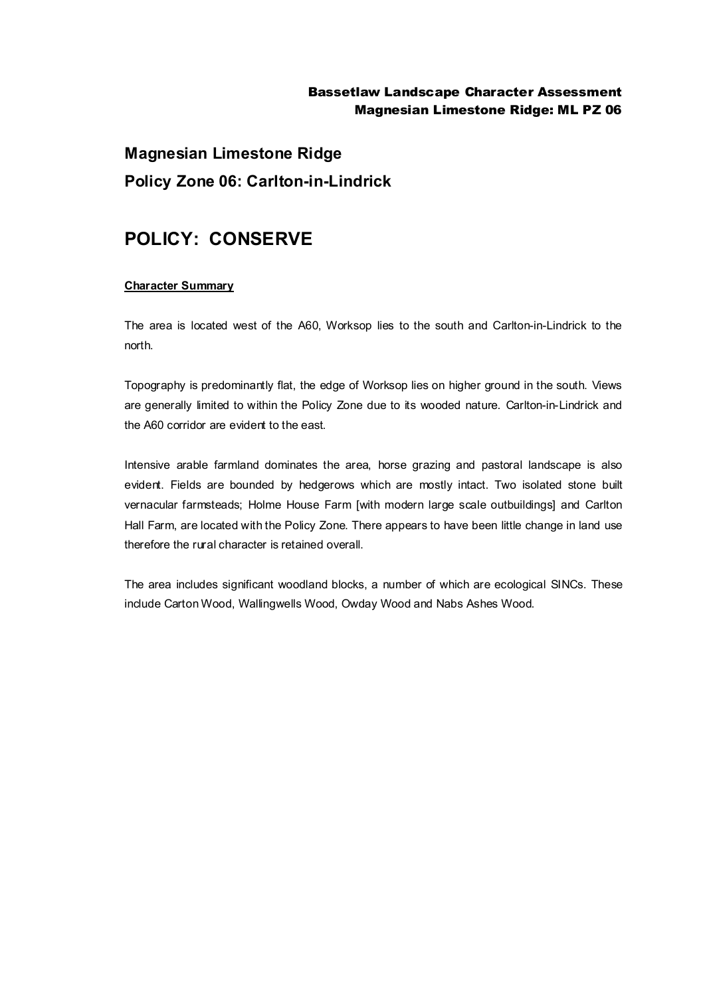#### Bassetlaw Landscape Character Assessment Magnesian Limestone Ridge: ML PZ 06

# **Magnesian Limestone Ridge Policy Zone 06: Carlton-in-Lindrick**

### **POLICY: CONSERVE**

#### **Character Summary**

The area is located west of the A60, Worksop lies to the south and Carlton-in-Lindrick to the north.

Topography is predominantly flat, the edge of Worksop lies on higher ground in the south. Views are generally limited to within the Policy Zone due to its wooded nature. Carlton-in-Lindrick and the A60 corridor are evident to the east.

Intensive arable farmland dominates the area, horse grazing and pastoral landscape is also evident. Fields are bounded by hedgerows which are mostly intact. Two isolated stone built vernacular farmsteads; Holme House Farm [with modern large scale outbuildings] and Carlton Hall Farm, are located with the Policy Zone. There appears to have been little change in land use therefore the rural character is retained overall.

The area includes significant woodland blocks, a number of which are ecological SINCs. These include Carton Wood, Wallingwells Wood, Owday Wood and Nabs Ashes Wood.